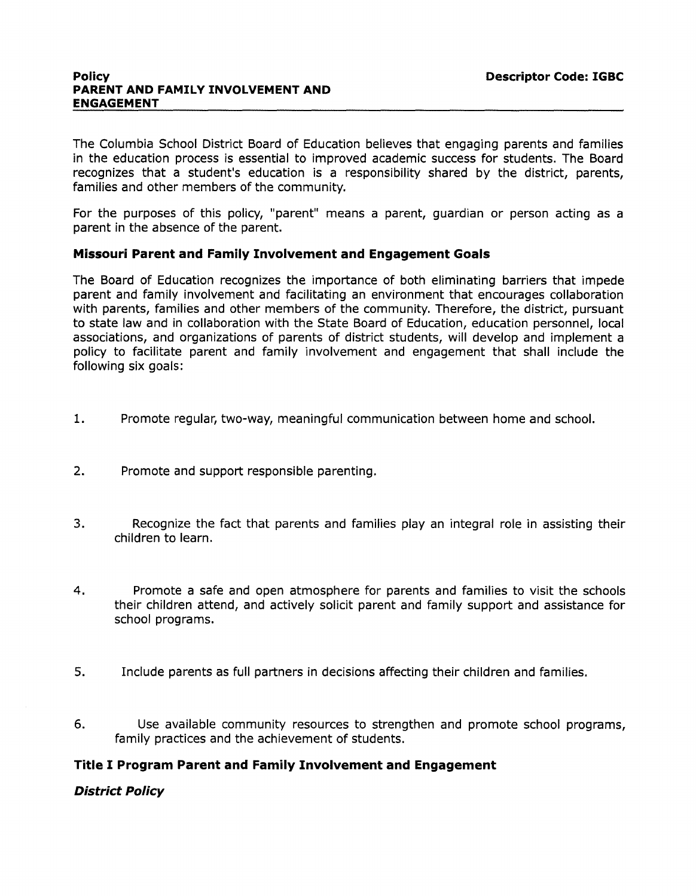#### **Policy PARENT AND FAMILY INVOLVEMENT AND ENGAGEMENT**

The Columbia School District Board of Education believes that engaging parents and families in the education process is essential to improved academic success for students. The Board recognizes that a student's education is a responsibility shared by the district, parents, families and other members of the community.

For the purposes of this policy, "parent" means a parent, guardian or person acting as a parent in the absence of the parent.

## **Missouri Parent and Family Involvement and Engagement Goals**

The Board of Education recognizes the importance of both eliminating barriers that impede parent and family involvement and facilitating an environment that encourages collaboration with parents, families and other members of the community. Therefore, the district, pursuant to state law and in collaboration with the State Board of Education, education personnel, local associations, and organizations of parents of district students, will develop and implement a policy to facilitate parent and family involvement and engagement that shall include the following six goals:

- 1. Promote regular, two-way, meaningful communication between home and school.
- 2. Promote and support responsible parenting.
- 3. Recognize the fact that parents and families play an integral role in assisting their children to learn.
- 4. Promote a safe and open atmosphere for parents and families to visit the schools their children attend, and actively solicit parent and family support and assistance for school programs.
- 5. Include parents as full partners in decisions affecting their children and families.
- 6. Use available community resources to strengthen and promote school programs, family practices and the achievement of students.

### **Title I Program Parent and Family Involvement and Engagement**

### **District Policy**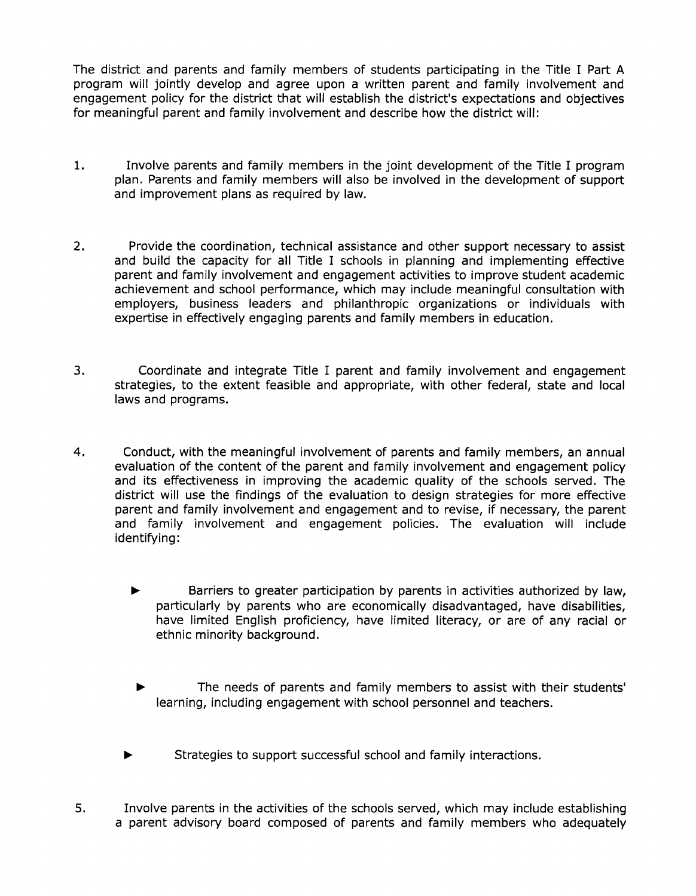The district and parents and family members of students participating in the Title I Part A program will jointly develop and agree upon a written parent and family involvement and engagement policy for the district that will establish the district's expectations and objectives for meaningful parent and family involvement and describe how the district will:

- 1. Involve parents and family members in the joint development of the Title I program plan. Parents and family members will also be involved in the development of support and improvement plans as required by law.
- 2. Provide the coordination, technical assistance and other support necessary to assist and build the capacity for all Title I schools in planning and implementing effective parent and family involvement and engagement activities to improve student academic achievement and school performance, which may include meaningful consultation with employers, business leaders and philanthropic organizations or individuals with expertise in effectively engaging parents and family members in education.
- 3. Coordinate and integrate Title I parent and family involvement and engagement strategies, to the extent feasible and appropriate, with other federal, state and local laws and programs.
- 4. Conduct, with the meaningful involvement of parents and family members, an annual evaluation of the content of the parent and family involvement and engagement policy and its effectiveness in improving the academic quality of the schools served. The district will use the findings of the evaluation to design strategies for more effective parent and family involvement and engagement and to revise, if necessary, the parent and family involvement and engagement policies. The evaluation will include identifying:
	- $\blacktriangleright$  Barriers to greater participation by parents in activities authorized by law, particularly by parents who are economically disadvantaged, have disabilities, have limited English proficiency, have limited literacy, or are of any racial or ethnic minority background.
		- The needs of parents and family members to assist with their students' learning, including engagement with school personnel and teachers.
	- Strategies to support successful school and family interactions.
- 5. Involve parents in the activities of the schools served, which may include establishing a parent advisory board composed of parents and family members who adequately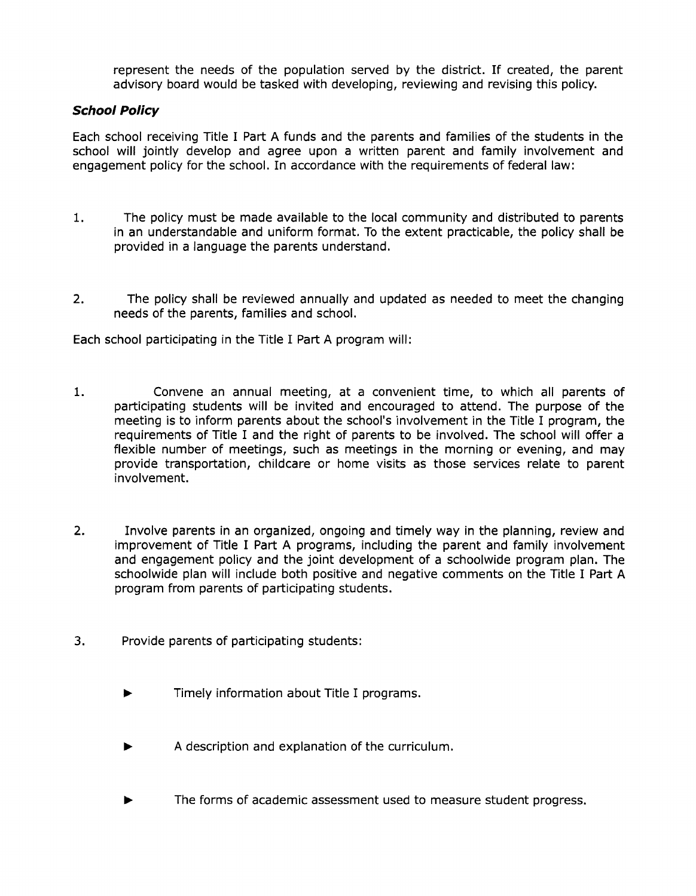represent the needs of the population served by the district. If created, the parent advisory board would be tasked with developing, reviewing and revising this policy.

## **School Policy**

Each school receiving Title I Part A funds and the parents and families of the students in the school will jointly develop and agree upon a written parent and family involvement and engagement policy for the school. In accordance with the requirements of federal law:

- 1. The policy must be made available to the local community and distributed to parents in an understandable and uniform format. To the extent practicable, the policy shall be provided in a language the parents understand.
- 2. The policy shall be reviewed annually and updated as needed to meet the changing needs of the parents, families and school.

Each school participating in the Title I Part A program will:

- 1. Convene an annual meeting, at a convenient time, to which all parents of participating students will be invited and encouraged to attend. The purpose of the meeting is to inform parents about the school's involvement in the Title I program, the requirements of Title I and the right of parents to be involved. The school will offer a flexible number of meetings, such as meetings in the morning or evening, and may provide transportation, childcare or home visits as those services relate to parent involvement.
- 2. Involve parents in an organized, ongoing and timely way in the planning, review and improvement of Title I Part A programs, including the parent and family involvement and engagement policy and the joint development of a schoolwide program plan. The schoolwide plan will include both positive and negative comments on the Title I Part A program from parents of participating students.
- 3. Provide parents of participating students:
	- Timely information about Title I programs.
	- A description and explanation of the curriculum.
	- The forms of academic assessment used to measure student progress.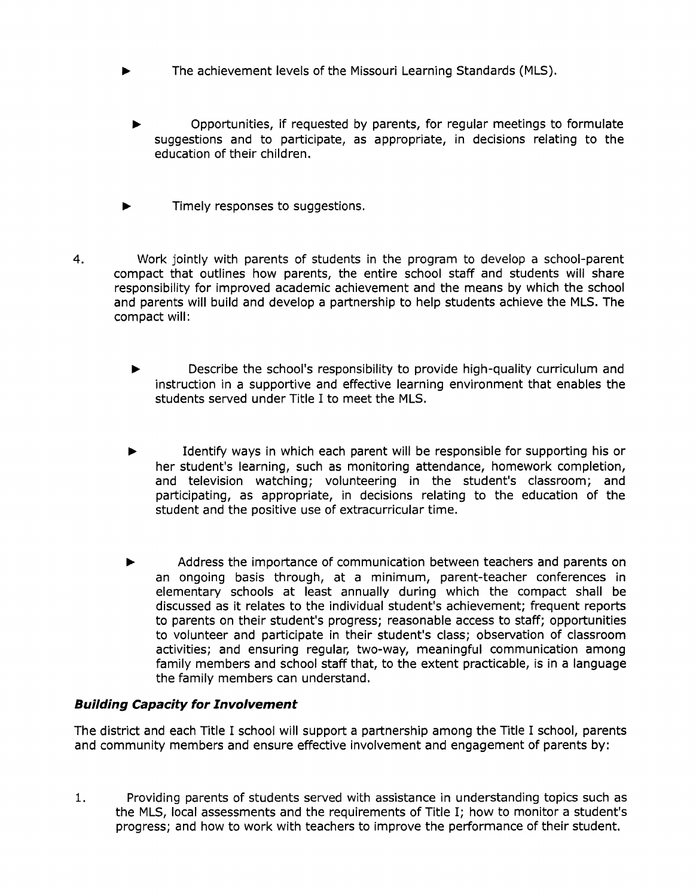- The achievement levels of the Missouri Learning Standards (MLS) .
	- Opportunities, if requested by parents, for regular meetings to formulate suggestions and to participate, as appropriate, in decisions relating to the education of their children.
- Timely responses to suggestions.
- 4. Work jointly with parents of students in the program to develop a school-parent compact that outlines how parents, the entire school staff and students will share responsibility for improved academic achievement and the means by which the school and parents will build and develop a partnership to help students achieve the MLS. The compact will:
	- Describe the school's responsibility to provide high-quality curriculum and instruction in a supportive and effective learning environment that enables the students served under Title I to meet the MLS.
	- Identify ways in which each parent will be responsible for supporting his or her student's learning, such as monitoring attendance, homework completion, and television watching; volunteering in the student's classroom; and participating, as appropriate, in decisions relating to the education of the student and the positive use of extracurricular time.
	- Address the importance of communication between teachers and parents on an ongoing basis through, at a minimum, parent-teacher conferences in elementary schools at least annually during which the compact shall be discussed as it relates to the individual student's achievement; frequent reports to parents on their student's progress; reasonable access to staff; opportunities to volunteer and participate in their student's class; observation of classroom activities; and ensuring regular, two-way, meaningful communication among family members and school staff that, to the extent practicable, is in a language the family members can understand.

# **Building Capacity for Involvement**

The district and each Title I school will support a partnership among the Title I school, parents and community members and ensure effective involvement and engagement of parents by:

1. Providing parents of students served with assistance in understanding topics such as the MLS, local assessments and the requirements of Title I; how to monitor a student's progress; and how to work with teachers to improve the performance of their student.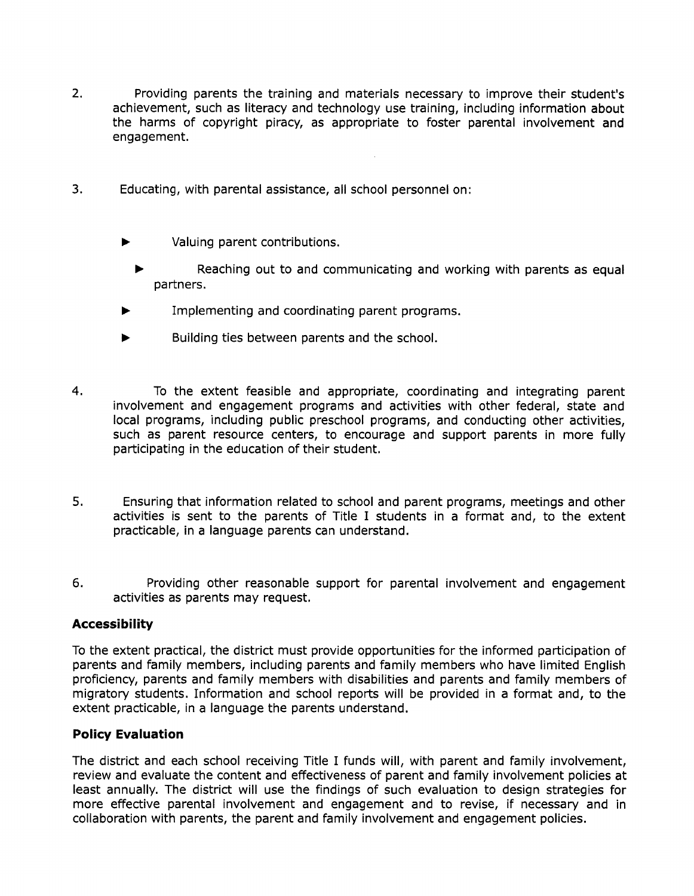- 2. Providing parents the training and materials necessary to improve their student's achievement, such as literacy and technology use training, including information about the harms of copyright piracy, as appropriate to foster parental involvement and engagement.
- 3. Educating, with parental assistance, all school personnel on:
	- Valuing parent contributions.
		- Reaching out to and communicating and working with parents as equal partners .
	- Implementing and coordinating parent programs.
	- Building ties between parents and the school.
- 4. To the extent feasible and appropriate, coordinating and integrating parent involvement and engagement programs and activities with other federal, state and local programs, including public preschool programs, and conducting other activities, such as parent resource centers, to encourage and support parents in more fully participating in the education of their student.
- 5. Ensuring that information related to school and parent programs, meetings and other activities is sent to the parents of Title I students in a format and, to the extent practicable, in a language parents can understand.
- 6. Providing other reasonable support for parental involvement and engagement activities as parents may request.

## **Accessibility**

To the extent practical, the district must provide opportunities for the informed participation of parents and family members, including parents and family members who have limited English proficiency, parents and family members with disabilities and parents and family members of migratory students. Information and school reports will be provided in a format and, to the extent practicable, in a language the parents understand.

### **Policy Evaluation**

The district and each school receiving Title I funds will, with parent and family involvement, review and evaluate the content and effectiveness of parent and family involvement policies at least annually. The district will use the findings of such evaluation to design strategies for more effective parental involvement and engagement and to revise, if necessary and in collaboration with parents, the parent and family involvement and engagement policies.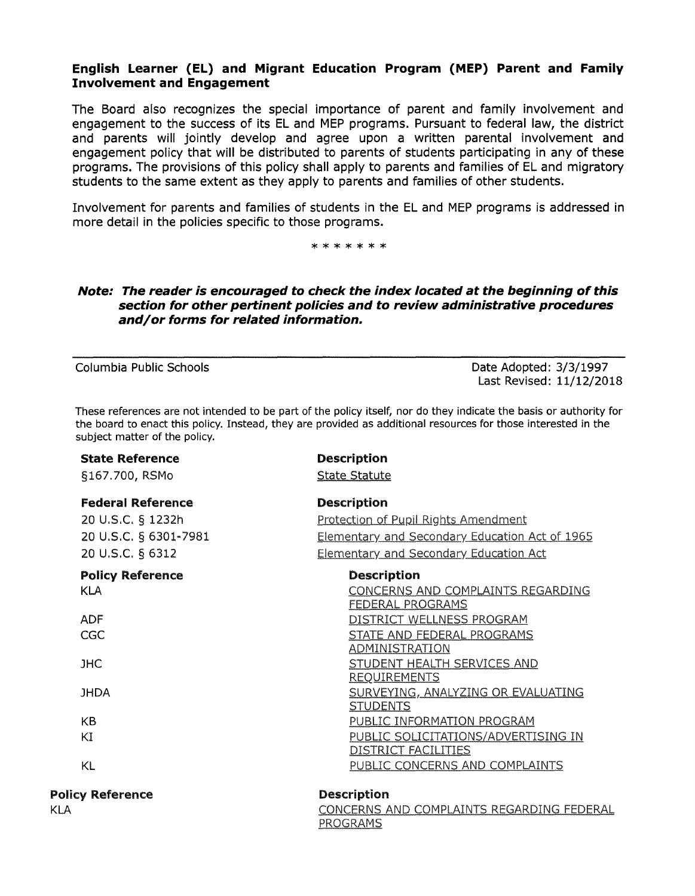## **English Learner (EL) and Migrant Education Program (MEP) Parent and Family Involvement and Engagement**

The Board also recognizes the special importance of parent and family involvement and engagement to the success of its EL and MEP programs. Pursuant to federal law, the district and parents will jointly develop and agree upon a written parental involvement and engagement policy that will be distributed to parents of students participating in any of these programs. The provisions of this policy shall apply to parents and families of EL and migratory students to the same extent as they apply to parents and families of other students.

Involvement for parents and families of students in the ELand MEP programs is addressed in more detail in the policies specific to those programs.

\*\*\*\*\*\*\*

### **Note: The reader is encouraged to check the index located at the beginning of this section for other pertinent policies and to review administrative procedures and/ or forms for related information.**

Columbia Public Schools Date Adopted: 3/3/1997 Last Revised: 11/12/2018

These references are not intended to be part of the policy itself, nor do they indicate the basis or authority for the board to enact this policy. Instead, they are provided as additional resources for those interested in the subject matter of the policy.

| <b>State Reference</b><br>§167.700, RSMo                                                   | <b>Description</b><br><b>State Statute</b>                                                                                                                    |
|--------------------------------------------------------------------------------------------|---------------------------------------------------------------------------------------------------------------------------------------------------------------|
| <b>Federal Reference</b><br>20 U.S.C. § 1232h<br>20 U.S.C. § 6301-7981<br>20 U.S.C. § 6312 | <b>Description</b><br>Protection of Pupil Rights Amendment<br>Elementary and Secondary Education Act of 1965<br><b>Elementary and Secondary Education Act</b> |
| <b>Policy Reference</b><br><b>KLA</b>                                                      | <b>Description</b><br>CONCERNS AND COMPLAINTS REGARDING<br><b>FEDERAL PROGRAMS</b>                                                                            |
| <b>ADF</b><br>CGC                                                                          | DISTRICT WELLNESS PROGRAM<br>STATE AND FEDERAL PROGRAMS<br><b>ADMINISTRATION</b>                                                                              |
| <b>JHC</b>                                                                                 | STUDENT HEALTH SERVICES AND<br><b>REQUIREMENTS</b>                                                                                                            |
| <b>JHDA</b>                                                                                | SURVEYING, ANALYZING OR EVALUATING<br><b>STUDENTS</b>                                                                                                         |
| KB                                                                                         | PUBLIC INFORMATION PROGRAM                                                                                                                                    |
| KI                                                                                         | PUBLIC SOLICITATIONS/ADVERTISING IN<br>DISTRICT FACILITIES                                                                                                    |
| KL                                                                                         | PUBLIC CONCERNS AND COMPLAINTS                                                                                                                                |
| <b>Policy Reference</b><br><b>KLA</b>                                                      | <b>Description</b><br>CONCERNS AND COMPLAINTS REGARDING FEDERAL                                                                                               |
|                                                                                            | PROGRAMS                                                                                                                                                      |